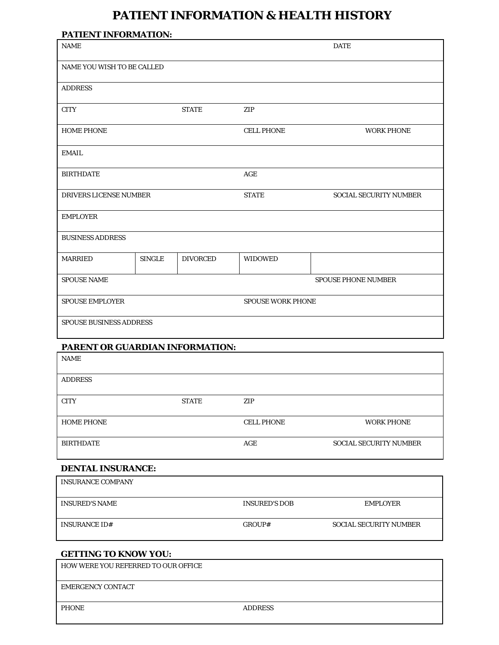## **PATIENT INFORMATION & HEALTH HISTORY**

| <b>PATIENT INFORMATION:</b>       |                          |                 |                        |                            |
|-----------------------------------|--------------------------|-----------------|------------------------|----------------------------|
| <b>NAME</b>                       |                          | <b>DATE</b>     |                        |                            |
| <b>NAME YOU WISH TO BE CALLED</b> |                          |                 |                        |                            |
| <b>ADDRESS</b>                    |                          |                 |                        |                            |
| <b>CITY</b>                       |                          | <b>STATE</b>    | ZIP                    |                            |
| <b>HOME PHONE</b>                 |                          |                 | <b>CELL PHONE</b>      | <b>WORK PHONE</b>          |
| <b>EMAIL</b>                      |                          |                 |                        |                            |
| <b>BIRTHDATE</b>                  |                          |                 | AGE                    |                            |
| <b>DRIVERS LICENSE NUMBER</b>     |                          | <b>STATE</b>    | SOCIAL SECURITY NUMBER |                            |
| <b>EMPLOYER</b>                   |                          |                 |                        |                            |
| <b>BUSINESS ADDRESS</b>           |                          |                 |                        |                            |
| <b>MARRIED</b>                    | <b>SINGLE</b>            | <b>DIVORCED</b> | <b>WIDOWED</b>         |                            |
| <b>SPOUSE NAME</b>                |                          |                 |                        | <b>SPOUSE PHONE NUMBER</b> |
| <b>SPOUSE EMPLOYER</b>            | <b>SPOUSE WORK PHONE</b> |                 |                        |                            |
| <b>SPOUSE BUSINESS ADDRESS</b>    |                          |                 |                        |                            |
| PARENT OR GUARDIAN INFORMATION:   |                          |                 |                        |                            |
| <b>NAME</b>                       |                          |                 |                        |                            |
| <b>ADDRESS</b>                    |                          |                 |                        |                            |
| <b>CITY</b>                       |                          | <b>STATE</b>    | ZIP                    |                            |
| <b>HOME PHONE</b>                 |                          |                 | <b>CELL PHONE</b>      | <b>WORK PHONE</b>          |
| <b>BIRTHDATE</b>                  |                          |                 | AGE                    | SOCIAL SECURITY NUMBER     |
| <b>DENTAL INSURANCE:</b>          |                          |                 |                        |                            |
| <b>INSURANCE COMPANY</b>          |                          |                 |                        |                            |
| <b>INSURED'S NAME</b>             |                          |                 | <b>INSURED'S DOB</b>   | <b>EMPLOYER</b>            |
| <b>INSURANCE ID#</b>              |                          |                 | GROUP#                 | SOCIAL SECURITY NUMBER     |
|                                   |                          |                 |                        |                            |

### **GETTING TO KNOW YOU:**

| HOW WERE YOU REFERRED TO OUR OFFICE |                |
|-------------------------------------|----------------|
| <b>EMERGENCY CONTACT</b>            |                |
| <b>PHONE</b>                        | <b>ADDRESS</b> |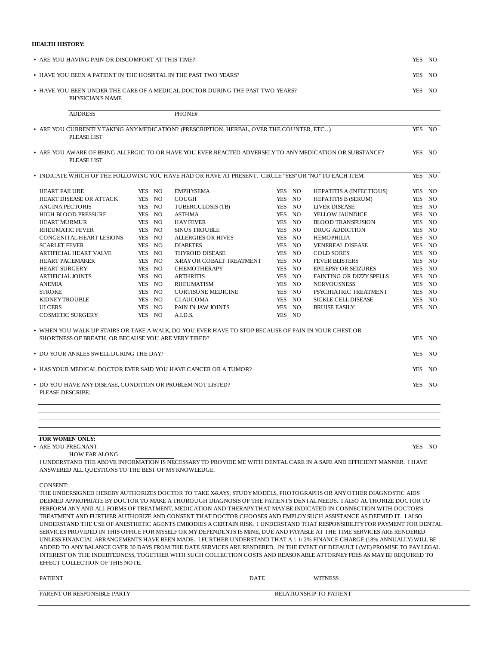#### **HEALTH HISTORY:**

| • ARE YOU HAVING PAIN OR DISCOMFORT AT THIS TIME?                |        |                                                                                                                       |        |                                 | <b>YES</b> | NO.    |
|------------------------------------------------------------------|--------|-----------------------------------------------------------------------------------------------------------------------|--------|---------------------------------|------------|--------|
| • HAVE YOU BEEN A PATIENT IN THE HOSPITAL IN THE PAST TWO YEARS? |        |                                                                                                                       |        | YES NO                          |            |        |
| PHYSICIAN'S NAME                                                 |        | • HAVE YOU BEEN UNDER THE CARE OF A MEDICAL DOCTOR DURING THE PAST TWO YEARS?                                         |        |                                 |            | YES NO |
| <b>ADDRESS</b>                                                   |        | PHONE#                                                                                                                |        |                                 |            |        |
|                                                                  |        | • ARE YOU CURRENTLY TAKING ANY MEDICATION? (PRESCRIPTION, HERBAL, OVER THE COUNTER, ETC)                              |        |                                 |            | YES NO |
| <b>PLEASE LIST</b>                                               |        |                                                                                                                       |        |                                 |            |        |
| <b>PLEASE LIST</b>                                               |        | • ARE YOU AWARE OF BEING ALLERGIC TO OR HAVE YOU EVER REACTED ADVERSELY TO ANY MEDICATION OR SUBSTANCE?               |        |                                 |            | YES NO |
|                                                                  |        | • INDICATE WHICH OF THE FOLLOWING YOU HAVE HAD OR HAVE AT PRESENT. CIRCLE "YES" OR "NO" TO EACH ITEM.                 |        |                                 |            | YES NO |
| <b>HEART FAILURE</b>                                             | YES NO | <b>EMPHYSEMA</b>                                                                                                      | YES NO | <b>HEPATITIS A (INFECTIOUS)</b> |            | YES NO |
| HEART DISEASE OR ATTACK                                          | YES NO | <b>COUGH</b>                                                                                                          | YES NO | <b>HEPATITIS B (SERUM)</b>      |            | YES NO |
| <b>ANGINA PECTORIS</b>                                           | YES NO | TUBERCULOSIS (TB)                                                                                                     | YES NO | <b>LIVER DISEASE</b>            |            | YES NO |
| <b>HIGH BLOOD PRESSURE</b>                                       | YES NO | <b>ASTHMA</b>                                                                                                         | YES NO | YELLOW JAUNDICE                 |            | YES NO |
| <b>HEART MURMUR</b>                                              | YES NO | <b>HAYFEVER</b>                                                                                                       | YES NO | <b>BLOOD TRANSFUSION</b>        |            | YES NO |
| <b>RHEUMATIC FEVER</b>                                           | YES NO | <b>SINUS TROUBLE</b>                                                                                                  | YES NO | <b>DRUG ADDICTION</b>           |            | YES NO |
| CONGENITAL HEART LESIONS                                         | YES NO | <b>ALLERGIES OR HIVES</b>                                                                                             | YES NO | <b>HEMOPHILIA</b>               |            | YES NO |
| <b>SCARLET FEVER</b>                                             | YES NO | <b>DIABETES</b>                                                                                                       | YES NO | <b>VENEREAL DISEASE</b>         |            | YES NO |
| ARTIFICIAL HEART VALVE                                           | YES NO | <b>THYROID DISEASE</b>                                                                                                | YES NO | <b>COLD SORES</b>               |            | YES NO |
| <b>HEART PACEMAKER</b>                                           | YES NO | X-RAY OR COBALT TREATMENT                                                                                             | YES NO | <b>FEVER BLISTERS</b>           |            | YES NO |
| <b>HEART SURGERY</b>                                             | YES NO | <b>CHEMOTHERAPY</b>                                                                                                   | YES NO | <b>EPILEPSY OR SEIZURES</b>     |            | YES NO |
| <b>ARTIFICIAL JOINTS</b>                                         | YES NO | <b>ARTHRITIS</b>                                                                                                      | YES NO | FAINTING OR DIZZY SPELLS        |            | YES NO |
| <b>ANEMIA</b>                                                    | YES NO | <b>RHEUMATISM</b>                                                                                                     | YES NO | <b>NERVOUSNESS</b>              |            | YES NO |
| <b>STROKE</b>                                                    | YES NO | <b>CORTISONE MEDICINE</b>                                                                                             | YES NO | PSYCHIATRIC TREATMENT           |            | YES NO |
| KIDNEY TROUBLE                                                   | YES NO | <b>GLAUCOMA</b>                                                                                                       | YES NO | <b>SICKLE CELL DISEASE</b>      | YES        | NO.    |
| <b>ULCERS</b>                                                    | YES NO | PAIN IN JAW JOINTS                                                                                                    | YES NO | <b>BRUISE EASILY</b>            |            | YES NO |
| <b>COSMETIC SURGERY</b>                                          | YES NO | A.I.D.S.                                                                                                              | YES NO |                                 |            |        |
|                                                                  |        | • WHEN YOU WALK UP STAIRS OR TAKE A WALK, DO YOU EVER HAVE TO STOP BECAUSE OF PAIN IN YOUR CHEST OR                   |        |                                 |            |        |
| SHORTNESS OF BREATH, OR BECAUSE YOU ARE VERY TIRED?              |        |                                                                                                                       |        |                                 | <b>YES</b> | NO.    |
| • DO YOUR ANKLES SWELL DURING THE DAY?                           |        |                                                                                                                       |        |                                 |            | YES NO |
| • HAS YOUR MEDICAL DOCTOR EVER SAID YOU HAVE CANCER OR A TUMOR?  |        |                                                                                                                       |        |                                 | YES        | NO.    |
| • DO YOU HAVE ANY DISEASE, CONDITION OR PROBLEM NOT LISTED?      |        |                                                                                                                       |        |                                 |            | YES NO |
| <b>PLEASE DESCRIBE:</b>                                          |        |                                                                                                                       |        |                                 |            |        |
|                                                                  |        |                                                                                                                       |        |                                 |            |        |
|                                                                  |        |                                                                                                                       |        |                                 |            |        |
| FOR WOMEN ONLY:                                                  |        |                                                                                                                       |        |                                 |            |        |
| • ARE YOU PREGNANT                                               |        |                                                                                                                       |        |                                 |            | YES NO |
| <b>HOW FAR ALONG</b>                                             |        | I UNDERSTAND THE ABOVE INFORMATION IS NECESSARY TO PROVIDE ME WITH DENTAL CARE IN A SAFE AND EFFICIENT MANNER. I HAVE |        |                                 |            |        |
| ANSWERED ALL OUESTIONS TO THE BEST OF MY KNOWLEDGE.              |        |                                                                                                                       |        |                                 |            |        |
| <b>CONSENT:</b>                                                  |        |                                                                                                                       |        |                                 |            |        |
|                                                                  |        | THE UNDERSIGNED HEREBY AUTHORIZES DOCTOR TO TAKE X-RAYS, STUDY MODELS, PHOTOGRAPHS OR ANY OTHER DIAGNOSTIC AIDS       |        |                                 |            |        |
|                                                                  |        | EMED ADDDODDLATE DV DOCTOD TO MAI/E A THODOUCH DIACMOSIS OF THE DATIENT'S DEMTAL MEEDS. I ALSO AUTHODIZE DOCTOD TO    |        |                                 |            |        |

DEEMED APPROPRIATE BY DOCTOR TO MAKE A THOROUGH DIAGNOSIS OF THE PATIENT'S DENTAL NEEDS. I ALSO AUTHORIZE DOCTOR TO PERFORM ANY AND ALL FORMS OF TREATMENT, MEDICATION AND THERAPY THAT MAY BE INDICATED IN CONNECTION WITH DOCTOR'S TREATMENT AND FURTHER AUTHORIZE AND CONSENT THAT DOCTOR CHOOSES AND EMPLOY SUCH ASSISTANCE AS DEEMED IT. I ALSO UNDERSTAND THE USE OF ANESTHETIC AGENTS EMBODIES A CERTAIN RISK. I UNDERSTAND THAT RESPONSIBILITY FOR PAYMENT FOR DENTAL SERVICES PROVIDED IN THIS OFFICE FOR MYSELF OR MY DEPENDENTS IS MINE, DUE AND PAYABLE AT THE TIME SERVICES ARE RENDERED UNLESS FINANCIAL ARRANGEMENTS HAVE BEEN MADE. I FURTHER UNDERSTAND THAT A 1 1/ 2% FINANCE CHARGE (18% ANNUALLY) WILL BE ADDED TO ANY BALANCE OVER 30 DAYS FROM THE DATE SERVICES ARE RENDERED. IN THE EVENT OF DEFAULT I (WE) PROMISE TO PAY LEGAL INTEREST ON THE INDEBTEDNESS, TOGETHER WITH SUCH COLLECTION COSTS AND REASONABLE ATTORNEY FEES AS MAY BE REQUIRED TO EFFECT COLLECTION OF THIS NOTE.

| <b>PATIENT</b>              | DATE                                | TNESS |
|-----------------------------|-------------------------------------|-------|
| PARENT OR RESPONSIBLE PARTY | LATIONSHIP TO PATIENT<br><b>DEI</b> |       |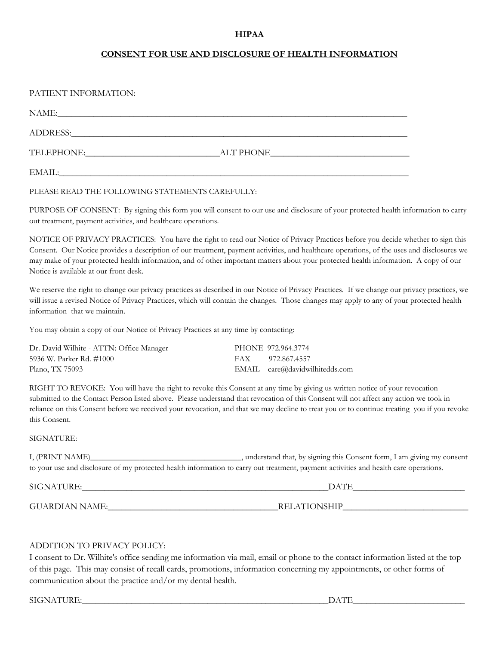#### **HIPAA**

#### **CONSENT FOR USE AND DISCLOSURE OF HEALTH INFORMATION**

| PATIENT INFORMATION: |           |
|----------------------|-----------|
| NAME:                |           |
|                      |           |
|                      | ALT PHONE |
| EMAIL:               |           |

PLEASE READ THE FOLLOWING STATEMENTS CAREFULLY:

PURPOSE OF CONSENT: By signing this form you will consent to our use and disclosure of your protected health information to carry out treatment, payment activities, and healthcare operations.

NOTICE OF PRIVACY PRACTICES: You have the right to read our Notice of Privacy Practices before you decide whether to sign this Consent. Our Notice provides a description of our treatment, payment activities, and healthcare operations, of the uses and disclosures we may make of your protected health information, and of other important matters about your protected health information. A copy of our Notice is available at our front desk.

We reserve the right to change our privacy practices as described in our Notice of Privacy Practices. If we change our privacy practices, we will issue a revised Notice of Privacy Practices, which will contain the changes. Those changes may apply to any of your protected health information that we maintain.

You may obtain a copy of our Notice of Privacy Practices at any time by contacting:

| Dr. David Wilhite - ATTN: Office Manager | PHONE 972.964.3774             |
|------------------------------------------|--------------------------------|
| 5936 W. Parker Rd. #1000                 | FAX 972.867.4557               |
| Plano, TX 75093                          | EMAIL care@davidwilhitedds.com |

RIGHT TO REVOKE: You will have the right to revoke this Consent at any time by giving us written notice of your revocation submitted to the Contact Person listed above. Please understand that revocation of this Consent will not affect any action we took in reliance on this Consent before we received your revocation, and that we may decline to treat you or to continue treating you if you revoke this Consent.

#### SIGNATURE:

I, (PRINT NAME)\_\_\_\_\_\_\_\_\_\_\_\_\_\_\_\_\_\_\_\_\_\_\_\_\_\_\_\_\_\_\_\_\_\_\_\_\_, understand that, by signing this Consent form, I am giving my consent to your use and disclosure of my protected health information to carry out treatment, payment activities and health care operations.

SIGNATURE: where the control of the control of the control of the control of the control of the control of the control of the control of the control of the control of the control of the control of the control of the contro

GUARDIAN NAME:\_\_\_\_\_\_\_\_\_\_\_\_\_\_\_\_\_\_\_\_\_\_\_\_\_\_\_\_\_\_\_\_\_\_\_\_\_\_RELATIONSHIP\_\_\_\_\_\_\_\_\_\_\_\_\_\_\_\_\_\_\_\_\_\_\_\_\_\_\_\_

#### ADDITION TO PRIVACY POLICY:

I consent to Dr. Wilhite's office sending me information via mail, email or phone to the contact information listed at the top of this page. This may consist of recall cards, promotions, information concerning my appointments, or other forms of communication about the practice and/or my dental health.

 $SIGNATURE:$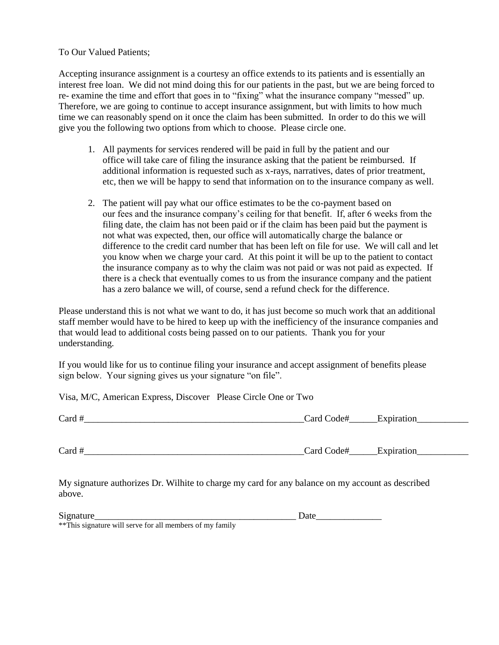To Our Valued Patients;

Accepting insurance assignment is a courtesy an office extends to its patients and is essentially an interest free loan. We did not mind doing this for our patients in the past, but we are being forced to re- examine the time and effort that goes in to "fixing" what the insurance company "messed" up. Therefore, we are going to continue to accept insurance assignment, but with limits to how much time we can reasonably spend on it once the claim has been submitted. In order to do this we will give you the following two options from which to choose. Please circle one.

- 1. All payments for services rendered will be paid in full by the patient and our office will take care of filing the insurance asking that the patient be reimbursed. If additional information is requested such as x-rays, narratives, dates of prior treatment, etc, then we will be happy to send that information on to the insurance company as well.
- 2. The patient will pay what our office estimates to be the co-payment based on our fees and the insurance company's ceiling for that benefit. If, after 6 weeks from the filing date, the claim has not been paid or if the claim has been paid but the payment is not what was expected, then, our office will automatically charge the balance or difference to the credit card number that has been left on file for use. We will call and let you know when we charge your card. At this point it will be up to the patient to contact the insurance company as to why the claim was not paid or was not paid as expected. If there is a check that eventually comes to us from the insurance company and the patient has a zero balance we will, of course, send a refund check for the difference.

Please understand this is not what we want to do, it has just become so much work that an additional staff member would have to be hired to keep up with the inefficiency of the insurance companies and that would lead to additional costs being passed on to our patients. Thank you for your understanding.

If you would like for us to continue filing your insurance and accept assignment of benefits please sign below. Your signing gives us your signature "on file".

Visa, M/C, American Express, Discover Please Circle One or Two

| $\sim$<br>$\text{card} \tau$ | 'ar<br>$\mathsf{H}$ |  |
|------------------------------|---------------------|--|
|                              |                     |  |

Card # The Card Code # Expiration

My signature authorizes Dr. Wilhite to charge my card for any balance on my account as described above.

Signature Date

\*\*This signature will serve for all members of my family